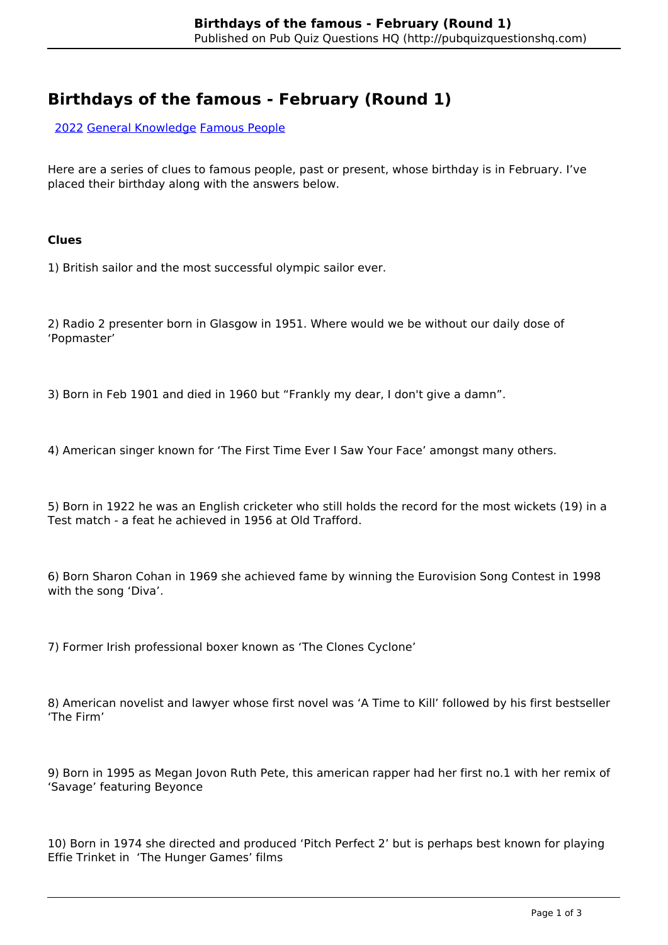# **Birthdays of the famous - February (Round 1)**

[2022](http://pubquizquestionshq.com/categories/2022) [General Knowledge](http://pubquizquestionshq.com/categories/general-knowledge) [Famous People](http://pubquizquestionshq.com/categories/famous-people)

Here are a series of clues to famous people, past or present, whose birthday is in February. I've placed their birthday along with the answers below.

#### **Clues**

1) British sailor and the most successful olympic sailor ever.

2) Radio 2 presenter born in Glasgow in 1951. Where would we be without our daily dose of 'Popmaster'

3) Born in Feb 1901 and died in 1960 but "Frankly my dear, I don't give a damn".

4) American singer known for 'The First Time Ever I Saw Your Face' amongst many others.

5) Born in 1922 he was an English cricketer who still holds the record for the most wickets (19) in a Test match - a feat he achieved in 1956 at Old Trafford.

6) Born Sharon Cohan in 1969 she achieved fame by winning the Eurovision Song Contest in 1998 with the song 'Diva'.

7) Former Irish professional boxer known as 'The Clones Cyclone'

8) American novelist and lawyer whose first novel was 'A Time to Kill' followed by his first bestseller 'The Firm'

9) Born in 1995 as Megan Jovon Ruth Pete, this american rapper had her first no.1 with her remix of 'Savage' featuring Beyonce

10) Born in 1974 she directed and produced 'Pitch Perfect 2' but is perhaps best known for playing Effie Trinket in 'The Hunger Games' films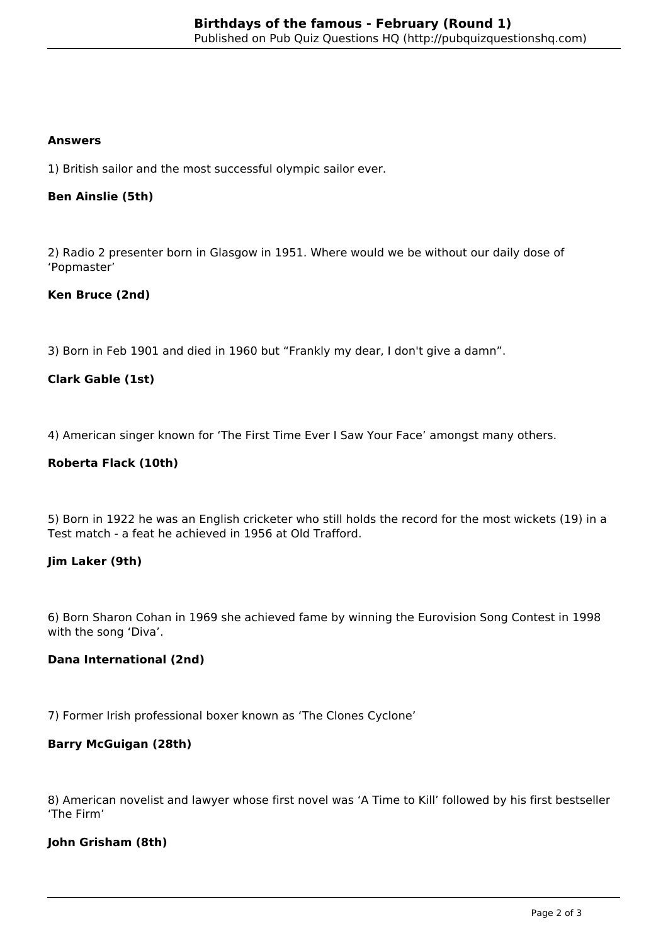#### **Answers**

1) British sailor and the most successful olympic sailor ever.

### **Ben Ainslie (5th)**

2) Radio 2 presenter born in Glasgow in 1951. Where would we be without our daily dose of 'Popmaster'

## **Ken Bruce (2nd)**

3) Born in Feb 1901 and died in 1960 but "Frankly my dear, I don't give a damn".

## **Clark Gable (1st)**

4) American singer known for 'The First Time Ever I Saw Your Face' amongst many others.

#### **Roberta Flack (10th)**

5) Born in 1922 he was an English cricketer who still holds the record for the most wickets (19) in a Test match - a feat he achieved in 1956 at Old Trafford.

#### **Jim Laker (9th)**

6) Born Sharon Cohan in 1969 she achieved fame by winning the Eurovision Song Contest in 1998 with the song 'Diva'.

#### **Dana International (2nd)**

7) Former Irish professional boxer known as 'The Clones Cyclone'

#### **Barry McGuigan (28th)**

8) American novelist and lawyer whose first novel was 'A Time to Kill' followed by his first bestseller 'The Firm'

#### **John Grisham (8th)**